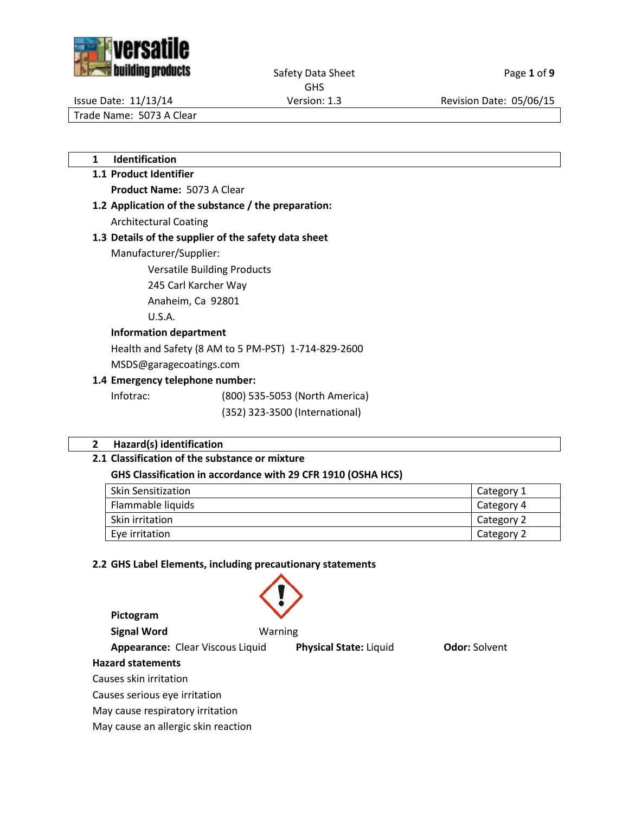



Safety Data Sheet Page 1 of 9

GHS

Issue Date: 11/13/14 Version: 1.3 Revision Date: 05/06/15

Trade Name: 5073 A Clear

**1 Identification**

# **1.1 Product Identifier Product Name:** 5073 A Clear

**1.2 Application of the substance / the preparation:** Architectural Coating

# **1.3 Details of the supplier of the safety data sheet**

Manufacturer/Supplier:

Versatile Building Products

245 Carl Karcher Way

Anaheim, Ca 92801

U.S.A.

# **Information department**

Health and Safety (8 AM to 5 PM-PST) 1-714-829-2600

MSDS@garagecoatings.com

# **1.4 Emergency telephone number:**

Infotrac: (800) 535-5053 (North America)

(352) 323-3500 (International)

# **2 Hazard(s) identification**

# **2.1 Classification of the substance or mixture**

# **GHS Classification in accordance with 29 CFR 1910 (OSHA HCS)**

| <b>Skin Sensitization</b> | Category 1 |
|---------------------------|------------|
| Flammable liquids         | Category 4 |
| Skin irritation           | Category 2 |
| Eye irritation            | Category 2 |

# **2.2 GHS Label Elements, including precautionary statements**

| Pictogram                           |                               |                      |
|-------------------------------------|-------------------------------|----------------------|
| <b>Signal Word</b>                  | Warning                       |                      |
| Appearance: Clear Viscous Liquid    | <b>Physical State: Liquid</b> | <b>Odor:</b> Solvent |
| <b>Hazard statements</b>            |                               |                      |
| Causes skin irritation              |                               |                      |
| Causes serious eye irritation       |                               |                      |
| May cause respiratory irritation    |                               |                      |
| May cause an allergic skin reaction |                               |                      |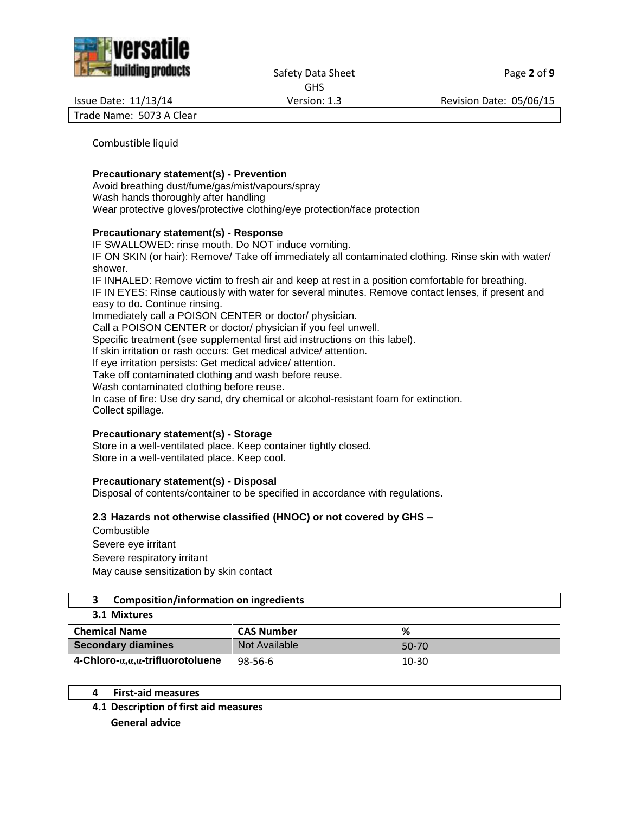



Safety Data Sheet Page 2 of 9 GHS

Issue Date: 11/13/14 Version: 1.3 Revision Date: 05/06/15

Trade Name: 5073 A Clear

Combustible liquid

#### **Precautionary statement(s) - Prevention**

Avoid breathing dust/fume/gas/mist/vapours/spray Wash hands thoroughly after handling Wear protective gloves/protective clothing/eye protection/face protection

#### **Precautionary statement(s) - Response**

IF SWALLOWED: rinse mouth. Do NOT induce vomiting. IF ON SKIN (or hair): Remove/ Take off immediately all contaminated clothing. Rinse skin with water/ shower. IF INHALED: Remove victim to fresh air and keep at rest in a position comfortable for breathing. IF IN EYES: Rinse cautiously with water for several minutes. Remove contact lenses, if present and easy to do. Continue rinsing. Immediately call a POISON CENTER or doctor/ physician. Call a POISON CENTER or doctor/ physician if you feel unwell. Specific treatment (see supplemental first aid instructions on this label). If skin irritation or rash occurs: Get medical advice/ attention. If eye irritation persists: Get medical advice/ attention. Take off contaminated clothing and wash before reuse. Wash contaminated clothing before reuse. In case of fire: Use dry sand, dry chemical or alcohol-resistant foam for extinction. Collect spillage.

#### **Precautionary statement(s) - Storage**

Store in a well-ventilated place. Keep container tightly closed. Store in a well-ventilated place. Keep cool.

#### **Precautionary statement(s) - Disposal**

Disposal of contents/container to be specified in accordance with regulations.

#### **2.3 Hazards not otherwise classified (HNOC) or not covered by GHS –**

**Combustible** Severe eye irritant Severe respiratory irritant May cause sensitization by skin contact

# **3 Composition/information on ingredients**

#### **3.1 Mixtures**

| <b>Chemical Name</b>                   | <b>CAS Number</b> | %       |
|----------------------------------------|-------------------|---------|
| <b>Secondary diamines</b>              | Not Available     | $50-70$ |
| $4$ -Chloro- $a,a,a$ -trifluorotoluene | $98 - 56 - 6$     | 10-30   |

- **4 First-aid measures**
- **4.1 Description of first aid measures**

**General advice**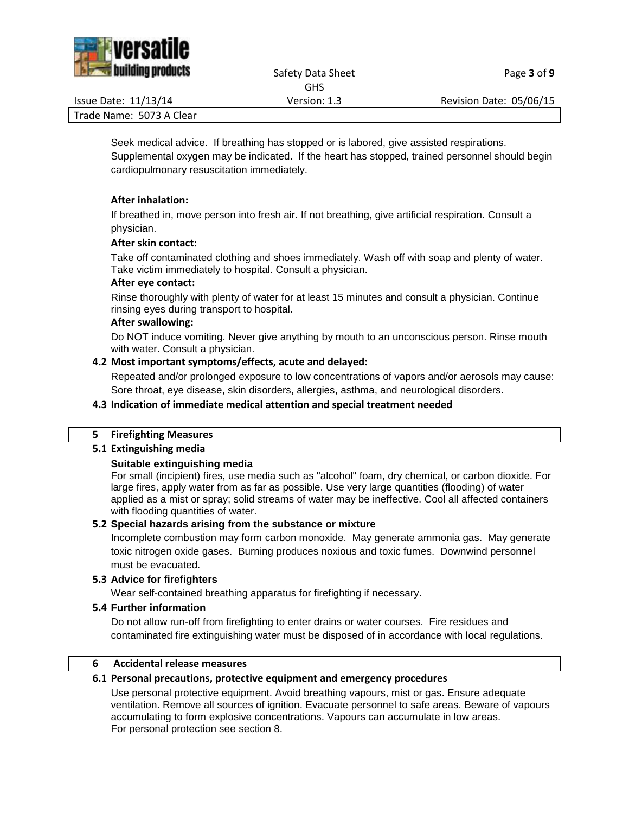

Safety Data Sheet Page 3 of 9 GHS

Issue Date: 11/13/14 Version: 1.3 Revision Date: 05/06/15

Trade Name: 5073 A Clear

Seek medical advice. If breathing has stopped or is labored, give assisted respirations. Supplemental oxygen may be indicated. If the heart has stopped, trained personnel should begin cardiopulmonary resuscitation immediately.

# **After inhalation:**

If breathed in, move person into fresh air. If not breathing, give artificial respiration. Consult a physician.

#### **After skin contact:**

Take off contaminated clothing and shoes immediately. Wash off with soap and plenty of water. Take victim immediately to hospital. Consult a physician.

#### **After eye contact:**

Rinse thoroughly with plenty of water for at least 15 minutes and consult a physician. Continue rinsing eyes during transport to hospital.

#### **After swallowing:**

Do NOT induce vomiting. Never give anything by mouth to an unconscious person. Rinse mouth with water. Consult a physician.

# **4.2 Most important symptoms/effects, acute and delayed:**

Repeated and/or prolonged exposure to low concentrations of vapors and/or aerosols may cause: Sore throat, eye disease, skin disorders, allergies, asthma, and neurological disorders.

### **4.3 Indication of immediate medical attention and special treatment needed**

#### **5 Firefighting Measures**

#### **5.1 Extinguishing media**

#### **Suitable extinguishing media**

For small (incipient) fires, use media such as "alcohol" foam, dry chemical, or carbon dioxide. For large fires, apply water from as far as possible. Use very large quantities (flooding) of water applied as a mist or spray; solid streams of water may be ineffective. Cool all affected containers with flooding quantities of water.

#### **5.2 Special hazards arising from the substance or mixture**

Incomplete combustion may form carbon monoxide. May generate ammonia gas. May generate toxic nitrogen oxide gases. Burning produces noxious and toxic fumes. Downwind personnel must be evacuated.

# **5.3 Advice for firefighters**

Wear self-contained breathing apparatus for firefighting if necessary.

#### **5.4 Further information**

Do not allow run-off from firefighting to enter drains or water courses. Fire residues and contaminated fire extinguishing water must be disposed of in accordance with local regulations.

#### **6 Accidental release measures**

#### **6.1 Personal precautions, protective equipment and emergency procedures**

Use personal protective equipment. Avoid breathing vapours, mist or gas. Ensure adequate ventilation. Remove all sources of ignition. Evacuate personnel to safe areas. Beware of vapours accumulating to form explosive concentrations. Vapours can accumulate in low areas. For personal protection see section 8.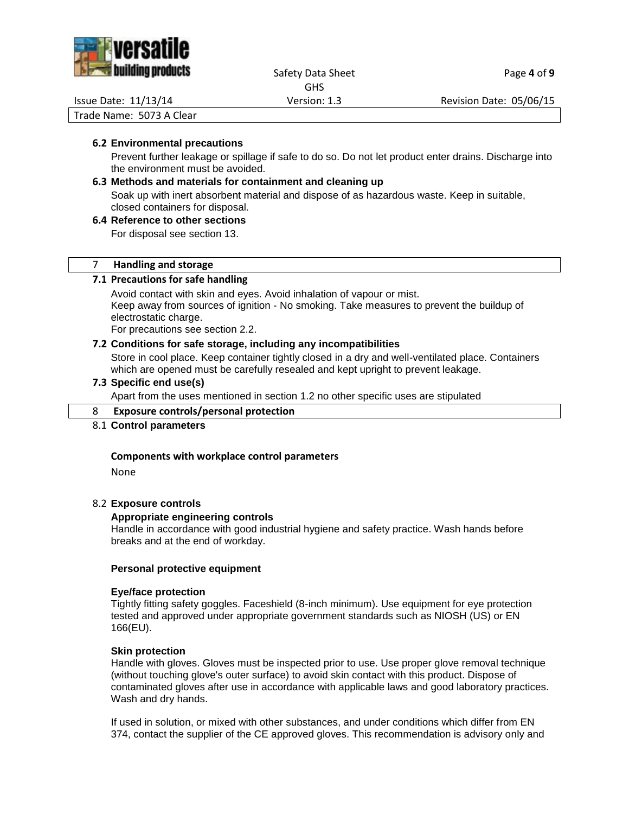

#### Safety Data Sheet Page 4 of 9 GHS

Issue Date: 11/13/14 Version: 1.3 Revision Date: 05/06/15

Trade Name: 5073 A Clear

#### **6.2 Environmental precautions**

Prevent further leakage or spillage if safe to do so. Do not let product enter drains. Discharge into the environment must be avoided.

# **6.3 Methods and materials for containment and cleaning up**

Soak up with inert absorbent material and dispose of as hazardous waste. Keep in suitable, closed containers for disposal.

# **6.4 Reference to other sections**

For disposal see section 13.

#### 7 **Handling and storage**

#### **7.1 Precautions for safe handling**

Avoid contact with skin and eyes. Avoid inhalation of vapour or mist. Keep away from sources of ignition - No smoking. Take measures to prevent the buildup of electrostatic charge.

For precautions see section 2.2.

#### **7.2 Conditions for safe storage, including any incompatibilities**

Store in cool place. Keep container tightly closed in a dry and well-ventilated place. Containers which are opened must be carefully resealed and kept upright to prevent leakage.

#### **7.3 Specific end use(s)**

Apart from the uses mentioned in section 1.2 no other specific uses are stipulated

#### 8 **Exposure controls/personal protection**

#### 8.1 **Control parameters**

#### **Components with workplace control parameters**

None

#### 8.2 **Exposure controls**

#### **Appropriate engineering controls**

Handle in accordance with good industrial hygiene and safety practice. Wash hands before breaks and at the end of workday.

#### **Personal protective equipment**

#### **Eye/face protection**

Tightly fitting safety goggles. Faceshield (8-inch minimum). Use equipment for eye protection tested and approved under appropriate government standards such as NIOSH (US) or EN 166(EU).

#### **Skin protection**

Handle with gloves. Gloves must be inspected prior to use. Use proper glove removal technique (without touching glove's outer surface) to avoid skin contact with this product. Dispose of contaminated gloves after use in accordance with applicable laws and good laboratory practices. Wash and dry hands.

If used in solution, or mixed with other substances, and under conditions which differ from EN 374, contact the supplier of the CE approved gloves. This recommendation is advisory only and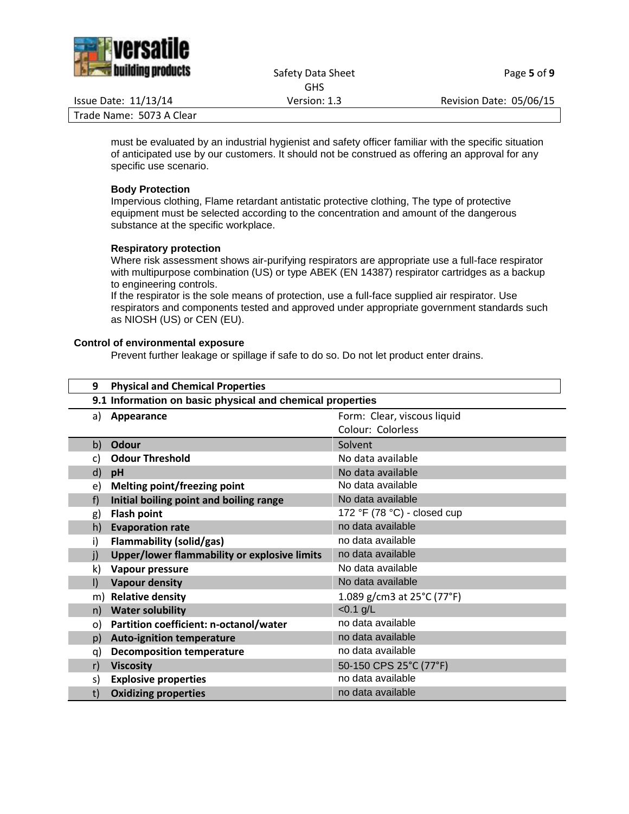

Safety Data Sheet Page 5 of 9 GHS

Issue Date: 11/13/14 Version: 1.3 Revision Date: 05/06/15

Trade Name: 5073 A Clear

must be evaluated by an industrial hygienist and safety officer familiar with the specific situation of anticipated use by our customers. It should not be construed as offering an approval for any specific use scenario.

#### **Body Protection**

Impervious clothing, Flame retardant antistatic protective clothing, The type of protective equipment must be selected according to the concentration and amount of the dangerous substance at the specific workplace.

#### **Respiratory protection**

Where risk assessment shows air-purifying respirators are appropriate use a full-face respirator with multipurpose combination (US) or type ABEK (EN 14387) respirator cartridges as a backup to engineering controls.

If the respirator is the sole means of protection, use a full-face supplied air respirator. Use respirators and components tested and approved under appropriate government standards such as NIOSH (US) or CEN (EU).

#### **Control of environmental exposure**

Prevent further leakage or spillage if safe to do so. Do not let product enter drains.

| 9            | <b>Physical and Chemical Properties</b>                   |                             |  |
|--------------|-----------------------------------------------------------|-----------------------------|--|
|              | 9.1 Information on basic physical and chemical properties |                             |  |
| a)           | Form: Clear, viscous liquid<br>Appearance                 |                             |  |
|              |                                                           | Colour: Colorless           |  |
| b)           | <b>Odour</b>                                              | Solvent                     |  |
| c)           | <b>Odour Threshold</b>                                    | No data available           |  |
| d)           | pH                                                        | No data available           |  |
| e)           | <b>Melting point/freezing point</b>                       | No data available           |  |
| f)           | Initial boiling point and boiling range                   | No data available           |  |
| g)           | <b>Flash point</b>                                        | 172 °F (78 °C) - closed cup |  |
| h)           | <b>Evaporation rate</b>                                   | no data available           |  |
| i)           | <b>Flammability (solid/gas)</b>                           | no data available           |  |
| $\mathbf{j}$ | Upper/lower flammability or explosive limits              | no data available           |  |
| k)           | Vapour pressure                                           | No data available           |  |
| $\mathsf{I}$ | <b>Vapour density</b>                                     | No data available           |  |
| m)           | <b>Relative density</b>                                   | 1.089 g/cm3 at 25°C (77°F)  |  |
| n)           | <b>Water solubility</b>                                   | $< 0.1$ g/L                 |  |
| o)           | Partition coefficient: n-octanol/water                    | no data available           |  |
| p)           | <b>Auto-ignition temperature</b>                          | no data available           |  |
| q)           | <b>Decomposition temperature</b>                          | no data available           |  |
| r)           | <b>Viscosity</b>                                          | 50-150 CPS 25°C (77°F)      |  |
| s)           | <b>Explosive properties</b>                               | no data available           |  |
| t)           | <b>Oxidizing properties</b>                               | no data available           |  |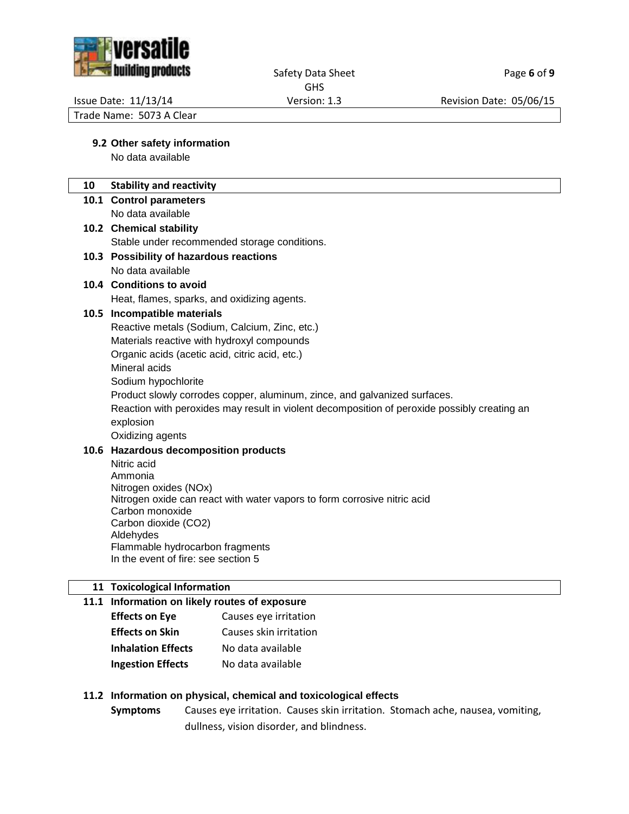

#### Safety Data Sheet Page 6 of 9 GHS

Issue Date: 11/13/14 Version: 1.3 Revision Date: 05/06/15

Trade Name: 5073 A Clear

# **9.2 Other safety information**

No data available

# **10 Stability and reactivity**

- **10.1 Control parameters**
	- No data available
- **10.2 Chemical stability** Stable under recommended storage conditions.

# **10.3 Possibility of hazardous reactions** No data available

**10.4 Conditions to avoid**

Heat, flames, sparks, and oxidizing agents.

# **10.5 Incompatible materials**

Reactive metals (Sodium, Calcium, Zinc, etc.)

Materials reactive with hydroxyl compounds

Organic acids (acetic acid, citric acid, etc.)

Mineral acids

Sodium hypochlorite

Product slowly corrodes copper, aluminum, zince, and galvanized surfaces.

Reaction with peroxides may result in violent decomposition of peroxide possibly creating an explosion

Oxidizing agents

# **10.6 Hazardous decomposition products**

Nitric acid Ammonia Nitrogen oxides (NOx) Nitrogen oxide can react with water vapors to form corrosive nitric acid Carbon monoxide Carbon dioxide (CO2) Aldehydes Flammable hydrocarbon fragments In the event of fire: see section 5

# **11 Toxicological Information**

# **11.1 Information on likely routes of exposure Effects on Eye** Causes eye irritation **Effects on Skin** Causes skin irritation **Inhalation Effects** No data available

**Ingestion Effects** No data available

# **11.2 Information on physical, chemical and toxicological effects**

**Symptoms** Causes eye irritation. Causes skin irritation. Stomach ache, nausea, vomiting, dullness, vision disorder, and blindness.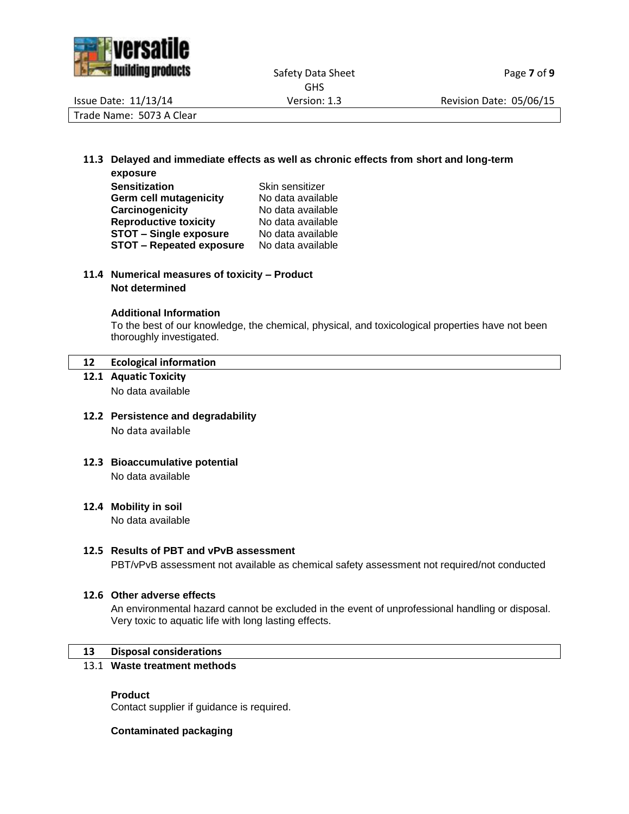

|                          | <b>GHS</b>   |                         |
|--------------------------|--------------|-------------------------|
| Issue Date: 11/13/14     | Version: 1.3 | Revision Date: 05/06/15 |
| Trade Name: 5073 A Clear |              |                         |

# **11.3 Delayed and immediate effects as well as chronic effects from short and long-term**

| exposure                        |                   |
|---------------------------------|-------------------|
| <b>Sensitization</b>            | Skin sensitizer   |
| <b>Germ cell mutagenicity</b>   | No data available |
| Carcinogenicity                 | No data available |
| <b>Reproductive toxicity</b>    | No data available |
| <b>STOT - Single exposure</b>   | No data available |
| <b>STOT - Repeated exposure</b> | No data available |

### **11.4 Numerical measures of toxicity – Product Not determined**

#### **Additional Information**

To the best of our knowledge, the chemical, physical, and toxicological properties have not been thoroughly investigated.

#### **12 Ecological information**

- **12.1 Aquatic Toxicity** No data available
- **12.2 Persistence and degradability** No data available
- **12.3 Bioaccumulative potential** No data available
- **12.4 Mobility in soil**

No data available

#### **12.5 Results of PBT and vPvB assessment**

PBT/vPvB assessment not available as chemical safety assessment not required/not conducted

### **12.6 Other adverse effects**

An environmental hazard cannot be excluded in the event of unprofessional handling or disposal. Very toxic to aquatic life with long lasting effects.

#### **13 Disposal considerations**

#### 13.1 **Waste treatment methods**

#### **Product**

Contact supplier if guidance is required.

#### **Contaminated packaging**

Safety Data Sheet Page 7 of 9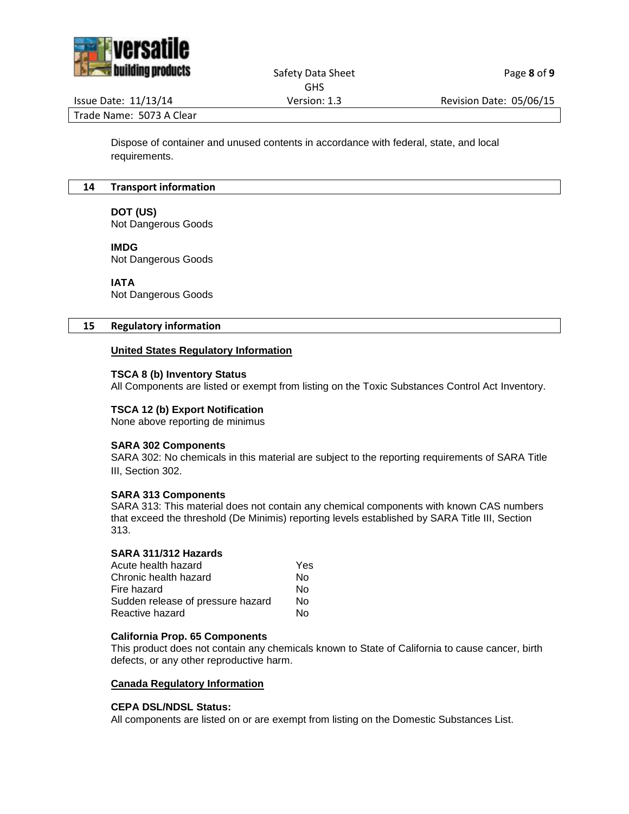

#### Safety Data Sheet Page 8 of 9 GHS

Issue Date: 11/13/14 Version: 1.3 Revision Date: 05/06/15

Trade Name: 5073 A Clear

Dispose of container and unused contents in accordance with federal, state, and local requirements.

#### **14 Transport information**

#### **DOT (US)**

Not Dangerous Goods

#### **IMDG**

Not Dangerous Goods

#### **IATA**

Not Dangerous Goods

#### **15 Regulatory information**

### **United States Regulatory Information**

#### **TSCA 8 (b) Inventory Status**

All Components are listed or exempt from listing on the Toxic Substances Control Act Inventory.

#### **TSCA 12 (b) Export Notification**

None above reporting de minimus

#### **SARA 302 Components**

SARA 302: No chemicals in this material are subject to the reporting requirements of SARA Title III, Section 302.

#### **SARA 313 Components**

SARA 313: This material does not contain any chemical components with known CAS numbers that exceed the threshold (De Minimis) reporting levels established by SARA Title III, Section 313.

#### **SARA 311/312 Hazards**

| Acute health hazard               | Yes |
|-----------------------------------|-----|
| Chronic health hazard             | N٥  |
| Fire hazard                       | N٥  |
| Sudden release of pressure hazard | N٥  |
| Reactive hazard                   | N٥  |
|                                   |     |

#### **California Prop. 65 Components**

This product does not contain any chemicals known to State of California to cause cancer, birth defects, or any other reproductive harm.

#### **Canada Regulatory Information**

#### **CEPA DSL/NDSL Status:**

All components are listed on or are exempt from listing on the Domestic Substances List.